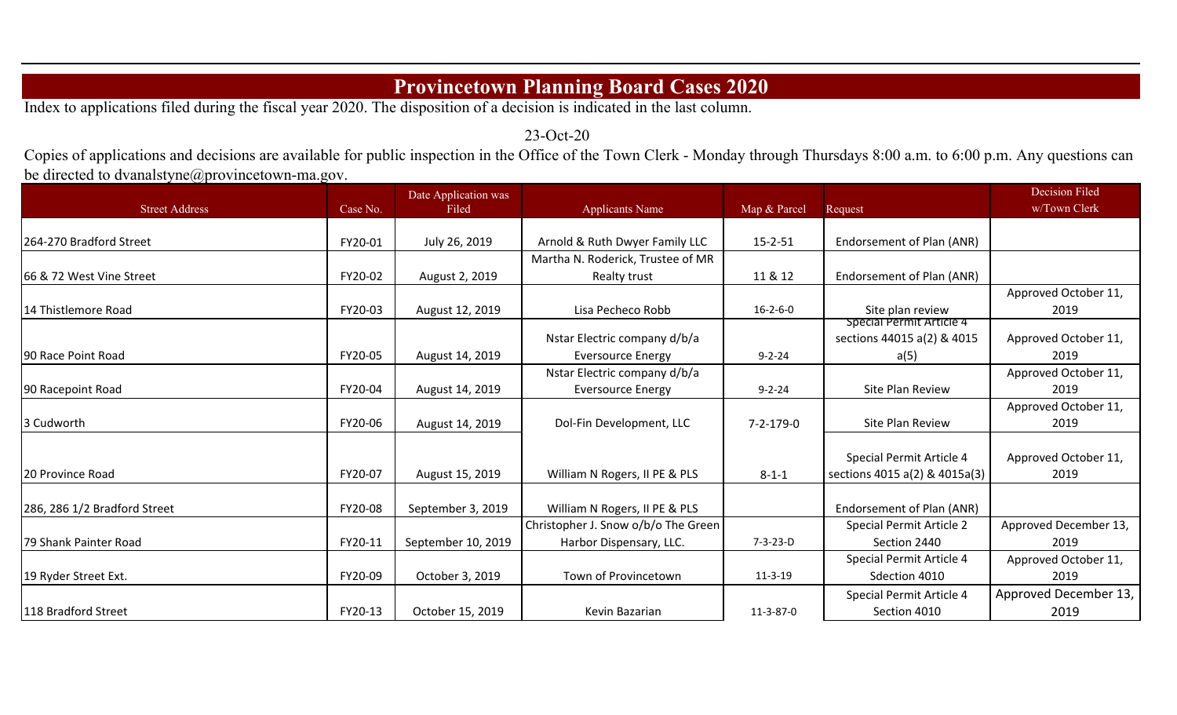## **Provincetown Planning Board Cases 2020**

Index to applications filed during the fiscal year 2020. The disposition of a decision is indicated in the last column.

23-Oct-20

Copies of applications and decisions are available for public inspection in the Office of the Town Clerk - Monday through Thursdays 8:00 a.m. to 6:00 p.m. Any questions can be directed to dvanalstyne@provincetown-ma.gov.

| <b>Street Address</b>        | Case No. | Date Application was<br>Filed |                                     | Map & Parcel      |                               | <b>Decision Filed</b><br>w/Town Clerk |
|------------------------------|----------|-------------------------------|-------------------------------------|-------------------|-------------------------------|---------------------------------------|
|                              |          |                               | <b>Applicants Name</b>              |                   | Request                       |                                       |
| 264-270 Bradford Street      | FY20-01  | July 26, 2019                 | Arnold & Ruth Dwyer Family LLC      | $15 - 2 - 51$     | Endorsement of Plan (ANR)     |                                       |
|                              |          |                               | Martha N. Roderick, Trustee of MR   |                   |                               |                                       |
| 66 & 72 West Vine Street     | FY20-02  | August 2, 2019                | Realty trust                        | 11 & 12           | Endorsement of Plan (ANR)     |                                       |
|                              |          |                               |                                     |                   |                               | Approved October 11,                  |
| 14 Thistlemore Road          | FY20-03  | August 12, 2019               | Lisa Pecheco Robb                   | $16 - 2 - 6 - 0$  | Site plan review              | 2019                                  |
|                              |          |                               |                                     |                   | Special Permit Article 4      |                                       |
|                              |          |                               | Nstar Electric company d/b/a        |                   | sections 44015 a(2) & 4015    | Approved October 11,                  |
| 90 Race Point Road           | FY20-05  | August 14, 2019               | <b>Eversource Energy</b>            | $9 - 2 - 24$      | a(5)                          | 2019                                  |
|                              |          |                               | Nstar Electric company d/b/a        |                   |                               | Approved October 11,                  |
| 90 Racepoint Road            | FY20-04  | August 14, 2019               | <b>Eversource Energy</b>            | $9 - 2 - 24$      | Site Plan Review              | 2019                                  |
|                              |          |                               |                                     |                   |                               | Approved October 11,                  |
| 3 Cudworth                   | FY20-06  | August 14, 2019               | Dol-Fin Development, LLC            | $7 - 2 - 179 - 0$ | Site Plan Review              | 2019                                  |
|                              |          |                               |                                     |                   |                               |                                       |
|                              |          |                               |                                     |                   | Special Permit Article 4      | Approved October 11,                  |
| 20 Province Road             | FY20-07  | August 15, 2019               | William N Rogers, II PE & PLS       | $8 - 1 - 1$       | sections 4015 a(2) & 4015a(3) | 2019                                  |
|                              |          |                               |                                     |                   |                               |                                       |
| 286, 286 1/2 Bradford Street | FY20-08  | September 3, 2019             | William N Rogers, II PE & PLS       |                   | Endorsement of Plan (ANR)     |                                       |
|                              |          |                               | Christopher J. Snow o/b/o The Green |                   | Special Permit Article 2      | Approved December 13,                 |
| 79 Shank Painter Road        | FY20-11  | September 10, 2019            | Harbor Dispensary, LLC.             | $7 - 3 - 23 - D$  | Section 2440                  | 2019                                  |
|                              |          |                               |                                     |                   | Special Permit Article 4      | Approved October 11,                  |
| 19 Ryder Street Ext.         | FY20-09  | October 3, 2019               | Town of Provincetown                | $11 - 3 - 19$     | Sdection 4010                 | 2019                                  |
|                              |          |                               |                                     |                   | Special Permit Article 4      | Approved December 13,                 |
| 118 Bradford Street          | FY20-13  | October 15, 2019              | Kevin Bazarian                      | 11-3-87-0         | Section 4010                  | 2019                                  |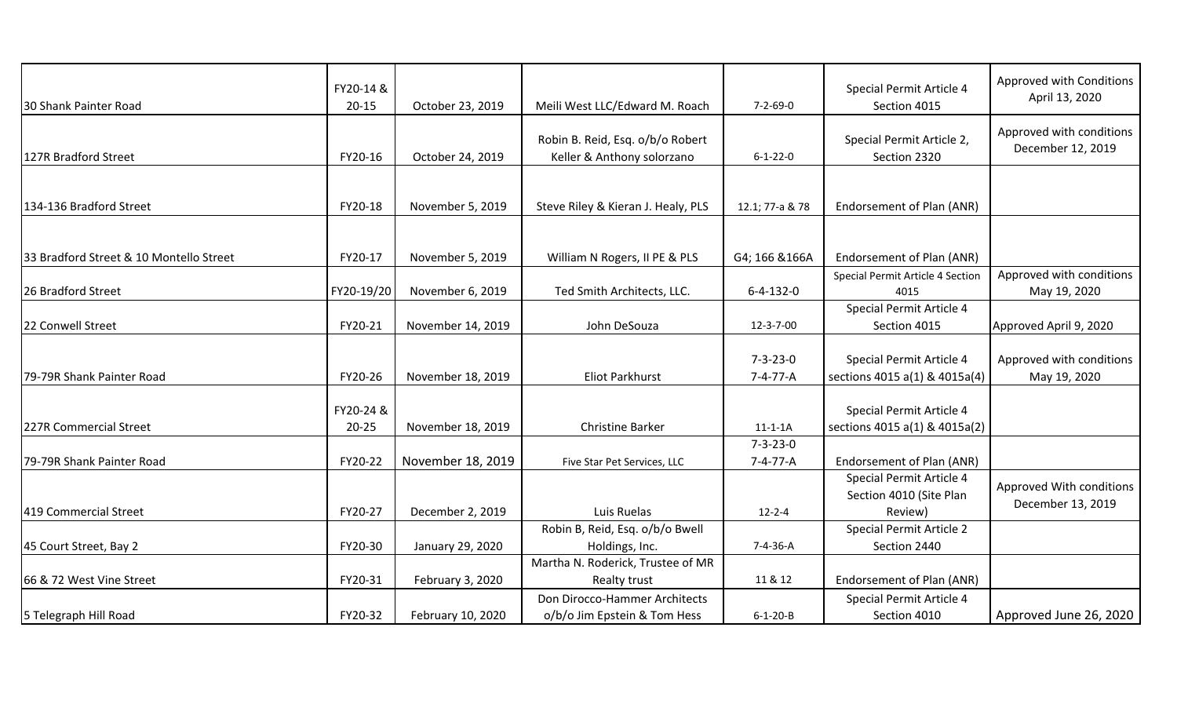| 30 Shank Painter Road                   | FY20-14 &<br>$20 - 15$ | October 23, 2019  | Meili West LLC/Edward M. Roach                                 | $7 - 2 - 69 - 0$                     | Special Permit Article 4<br>Section 4015                       | Approved with Conditions<br>April 13, 2020    |
|-----------------------------------------|------------------------|-------------------|----------------------------------------------------------------|--------------------------------------|----------------------------------------------------------------|-----------------------------------------------|
| 127R Bradford Street                    | FY20-16                | October 24, 2019  | Robin B. Reid, Esq. o/b/o Robert<br>Keller & Anthony solorzano | $6 - 1 - 22 - 0$                     | Special Permit Article 2,<br>Section 2320                      | Approved with conditions<br>December 12, 2019 |
| 134-136 Bradford Street                 | FY20-18                | November 5, 2019  | Steve Riley & Kieran J. Healy, PLS                             | 12.1; 77-a & 78                      | Endorsement of Plan (ANR)                                      |                                               |
| 33 Bradford Street & 10 Montello Street | FY20-17                | November 5, 2019  | William N Rogers, II PE & PLS                                  | G4; 166 & 166A                       | Endorsement of Plan (ANR)                                      |                                               |
| 26 Bradford Street                      | FY20-19/20             | November 6, 2019  | Ted Smith Architects, LLC.                                     | $6 - 4 - 132 - 0$                    | Special Permit Article 4 Section<br>4015                       | Approved with conditions<br>May 19, 2020      |
| 22 Conwell Street                       | FY20-21                | November 14, 2019 | John DeSouza                                                   | 12-3-7-00                            | Special Permit Article 4<br>Section 4015                       | Approved April 9, 2020                        |
| 79-79R Shank Painter Road               | FY20-26                | November 18, 2019 | <b>Eliot Parkhurst</b>                                         | $7 - 3 - 23 - 0$<br>$7 - 4 - 77 - A$ | Special Permit Article 4<br>sections 4015 a(1) & 4015a(4)      | Approved with conditions<br>May 19, 2020      |
| 227R Commercial Street                  | FY20-24 &<br>$20 - 25$ | November 18, 2019 | <b>Christine Barker</b>                                        | $11 - 1 - 1A$                        | Special Permit Article 4<br>sections 4015 a(1) & 4015a(2)      |                                               |
| 79-79R Shank Painter Road               | FY20-22                | November 18, 2019 | Five Star Pet Services, LLC                                    | $7 - 3 - 23 - 0$<br>$7 - 4 - 77 - A$ | Endorsement of Plan (ANR)                                      |                                               |
| 419 Commercial Street                   | FY20-27                | December 2, 2019  | Luis Ruelas                                                    | $12 - 2 - 4$                         | Special Permit Article 4<br>Section 4010 (Site Plan<br>Review) | Approved With conditions<br>December 13, 2019 |
| 45 Court Street, Bay 2                  | FY20-30                | January 29, 2020  | Robin B, Reid, Esq. o/b/o Bwell<br>Holdings, Inc.              | 7-4-36-A                             | Special Permit Article 2<br>Section 2440                       |                                               |
| 66 & 72 West Vine Street                | FY20-31                | February 3, 2020  | Martha N. Roderick, Trustee of MR<br>Realty trust              | 11 & 12                              | Endorsement of Plan (ANR)                                      |                                               |
| 5 Telegraph Hill Road                   | FY20-32                | February 10, 2020 | Don Dirocco-Hammer Architects<br>o/b/o Jim Epstein & Tom Hess  | $6 - 1 - 20 - B$                     | Special Permit Article 4<br>Section 4010                       | Approved June 26, 2020                        |